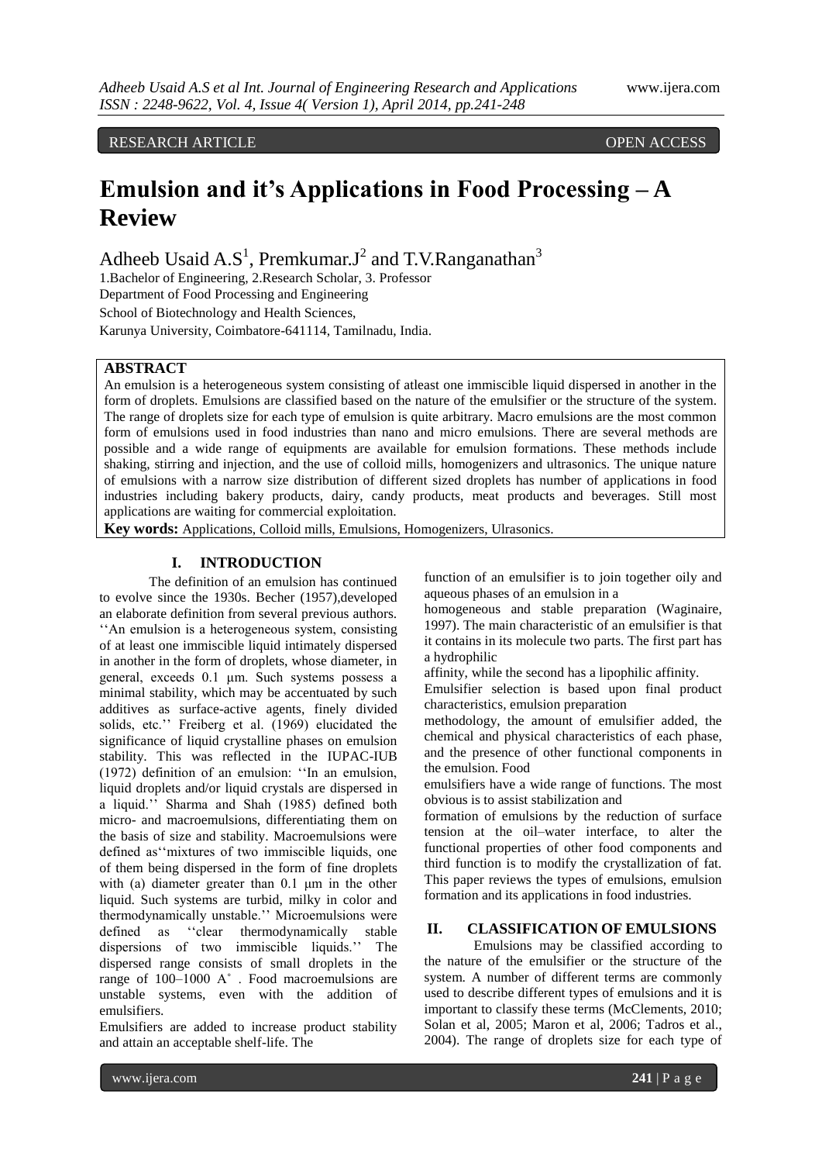RESEARCH ARTICLE OPEN ACCESS

# **Emulsion and it's Applications in Food Processing – A Review**

Adheeb Usaid A.S<sup>1</sup>, Premkumar.J<sup>2</sup> and T.V.Ranganathan<sup>3</sup>

1.Bachelor of Engineering, 2.Research Scholar, 3. Professor Department of Food Processing and Engineering School of Biotechnology and Health Sciences,

Karunya University, Coimbatore-641114, Tamilnadu, India.

## **ABSTRACT**

An emulsion is a heterogeneous system consisting of atleast one immiscible liquid dispersed in another in the form of droplets. Emulsions are classified based on the nature of the emulsifier or the structure of the system. The range of droplets size for each type of emulsion is quite arbitrary. Macro emulsions are the most common form of emulsions used in food industries than nano and micro emulsions. There are several methods are possible and a wide range of equipments are available for emulsion formations. These methods include shaking, stirring and injection, and the use of colloid mills, homogenizers and ultrasonics. The unique nature of emulsions with a narrow size distribution of different sized droplets has number of applications in food industries including bakery products, dairy, candy products, meat products and beverages. Still most applications are waiting for commercial exploitation.

**Key words:** Applications, Colloid mills, Emulsions, Homogenizers, Ulrasonics.

## **I. INTRODUCTION**

The definition of an emulsion has continued to evolve since the 1930s. Becher (1957),developed an elaborate definition from several previous authors. ''An emulsion is a heterogeneous system, consisting of at least one immiscible liquid intimately dispersed in another in the form of droplets, whose diameter, in general, exceeds 0.1 μm. Such systems possess a minimal stability, which may be accentuated by such additives as surface-active agents, finely divided solids, etc.'' Freiberg et al. (1969) elucidated the significance of liquid crystalline phases on emulsion stability. This was reflected in the IUPAC-IUB (1972) definition of an emulsion: ''In an emulsion, liquid droplets and/or liquid crystals are dispersed in a liquid.'' Sharma and Shah (1985) defined both micro- and macroemulsions, differentiating them on the basis of size and stability. Macroemulsions were defined as''mixtures of two immiscible liquids, one of them being dispersed in the form of fine droplets with (a) diameter greater than 0.1 μm in the other liquid. Such systems are turbid, milky in color and thermodynamically unstable.'' Microemulsions were defined as ''clear thermodynamically stable dispersions of two immiscible liquids.'' The dispersed range consists of small droplets in the range of 100–1000 A˚ . Food macroemulsions are unstable systems, even with the addition of emulsifiers.

Emulsifiers are added to increase product stability and attain an acceptable shelf-life. The

function of an emulsifier is to join together oily and aqueous phases of an emulsion in a

homogeneous and stable preparation (Waginaire, 1997). The main characteristic of an emulsifier is that it contains in its molecule two parts. The first part has a hydrophilic

affinity, while the second has a lipophilic affinity.

Emulsifier selection is based upon final product characteristics, emulsion preparation

methodology, the amount of emulsifier added, the chemical and physical characteristics of each phase, and the presence of other functional components in the emulsion. Food

emulsifiers have a wide range of functions. The most obvious is to assist stabilization and

formation of emulsions by the reduction of surface tension at the oil–water interface, to alter the functional properties of other food components and third function is to modify the crystallization of fat. This paper reviews the types of emulsions, emulsion formation and its applications in food industries.

# **II. CLASSIFICATION OF EMULSIONS**

Emulsions may be classified according to the nature of the emulsifier or the structure of the system. A number of different terms are commonly used to describe different types of emulsions and it is important to classify these terms (McClements, 2010; Solan et al, 2005; Maron et al, 2006; Tadros et al., 2004). The range of droplets size for each type of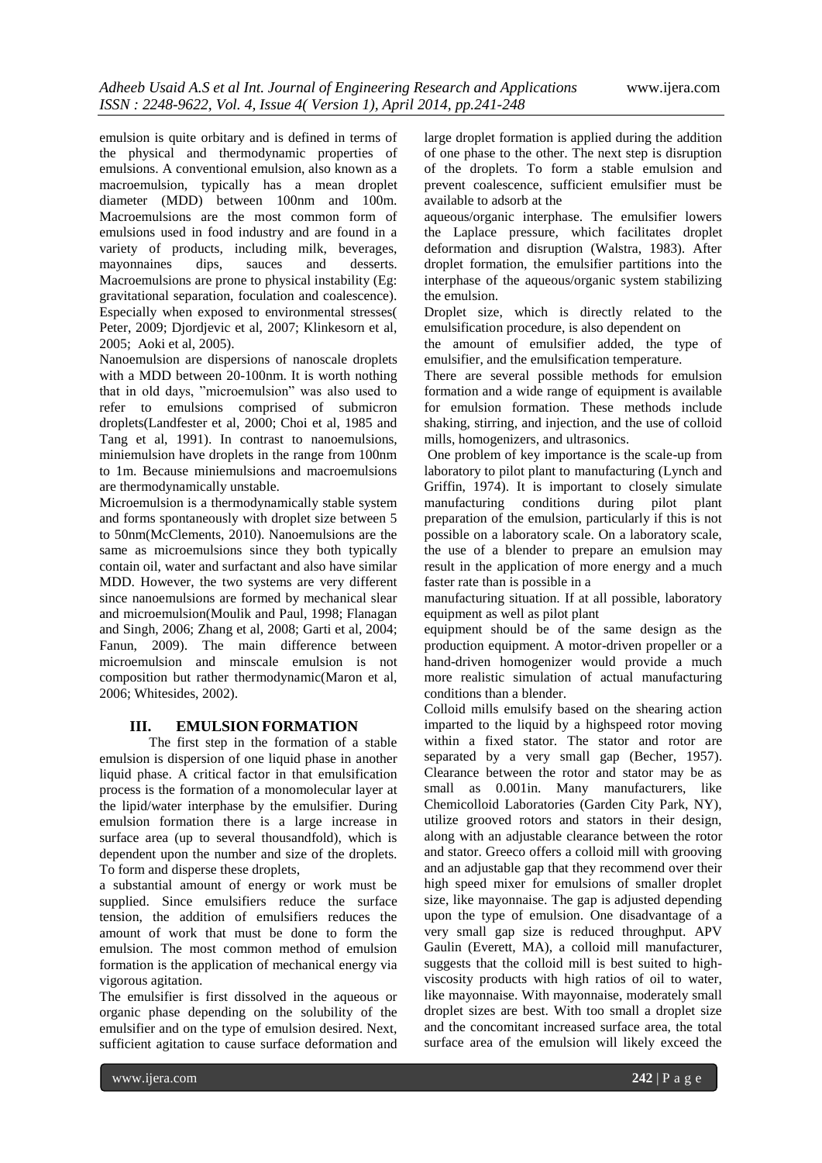emulsion is quite orbitary and is defined in terms of the physical and thermodynamic properties of emulsions. A conventional emulsion, also known as a macroemulsion, typically has a mean droplet diameter (MDD) between 100nm and 100m. Macroemulsions are the most common form of emulsions used in food industry and are found in a variety of products, including milk, beverages, mayonnaines dips, sauces and desserts. Macroemulsions are prone to physical instability (Eg: gravitational separation, foculation and coalescence). Especially when exposed to environmental stresses( Peter, 2009; Djordjevic et al, 2007; Klinkesorn et al, 2005; Aoki et al, 2005).

Nanoemulsion are dispersions of nanoscale droplets with a MDD between 20-100nm. It is worth nothing that in old days, "microemulsion" was also used to refer to emulsions comprised of submicron droplets(Landfester et al, 2000; Choi et al, 1985 and Tang et al, 1991). In contrast to nanoemulsions, miniemulsion have droplets in the range from 100nm to 1m. Because miniemulsions and macroemulsions are thermodynamically unstable.

Microemulsion is a thermodynamically stable system and forms spontaneously with droplet size between 5 to 50nm(McClements, 2010). Nanoemulsions are the same as microemulsions since they both typically contain oil, water and surfactant and also have similar MDD. However, the two systems are very different since nanoemulsions are formed by mechanical slear and microemulsion(Moulik and Paul, 1998; Flanagan and Singh, 2006; Zhang et al, 2008; Garti et al, 2004; Fanun, 2009). The main difference between microemulsion and minscale emulsion is not composition but rather thermodynamic(Maron et al, 2006; Whitesides, 2002).

## **III. EMULSION FORMATION**

The first step in the formation of a stable emulsion is dispersion of one liquid phase in another liquid phase. A critical factor in that emulsification process is the formation of a monomolecular layer at the lipid/water interphase by the emulsifier. During emulsion formation there is a large increase in surface area (up to several thousandfold), which is dependent upon the number and size of the droplets. To form and disperse these droplets,

a substantial amount of energy or work must be supplied. Since emulsifiers reduce the surface tension, the addition of emulsifiers reduces the amount of work that must be done to form the emulsion. The most common method of emulsion formation is the application of mechanical energy via vigorous agitation.

The emulsifier is first dissolved in the aqueous or organic phase depending on the solubility of the emulsifier and on the type of emulsion desired. Next, sufficient agitation to cause surface deformation and

large droplet formation is applied during the addition of one phase to the other. The next step is disruption of the droplets. To form a stable emulsion and prevent coalescence, sufficient emulsifier must be available to adsorb at the

aqueous/organic interphase. The emulsifier lowers the Laplace pressure, which facilitates droplet deformation and disruption (Walstra, 1983). After droplet formation, the emulsifier partitions into the interphase of the aqueous/organic system stabilizing the emulsion.

Droplet size, which is directly related to the emulsification procedure, is also dependent on

the amount of emulsifier added, the type of emulsifier, and the emulsification temperature.

There are several possible methods for emulsion formation and a wide range of equipment is available for emulsion formation. These methods include shaking, stirring, and injection, and the use of colloid mills, homogenizers, and ultrasonics.

One problem of key importance is the scale-up from laboratory to pilot plant to manufacturing (Lynch and Griffin, 1974). It is important to closely simulate manufacturing conditions during pilot plant preparation of the emulsion, particularly if this is not possible on a laboratory scale. On a laboratory scale, the use of a blender to prepare an emulsion may result in the application of more energy and a much faster rate than is possible in a

manufacturing situation. If at all possible, laboratory equipment as well as pilot plant

equipment should be of the same design as the production equipment. A motor-driven propeller or a hand-driven homogenizer would provide a much more realistic simulation of actual manufacturing conditions than a blender.

Colloid mills emulsify based on the shearing action imparted to the liquid by a highspeed rotor moving within a fixed stator. The stator and rotor are separated by a very small gap (Becher, 1957). Clearance between the rotor and stator may be as small as 0.001in. Many manufacturers, like Chemicolloid Laboratories (Garden City Park, NY), utilize grooved rotors and stators in their design, along with an adjustable clearance between the rotor and stator. Greeco offers a colloid mill with grooving and an adjustable gap that they recommend over their high speed mixer for emulsions of smaller droplet size, like mayonnaise. The gap is adjusted depending upon the type of emulsion. One disadvantage of a very small gap size is reduced throughput. APV Gaulin (Everett, MA), a colloid mill manufacturer, suggests that the colloid mill is best suited to highviscosity products with high ratios of oil to water, like mayonnaise. With mayonnaise, moderately small droplet sizes are best. With too small a droplet size and the concomitant increased surface area, the total surface area of the emulsion will likely exceed the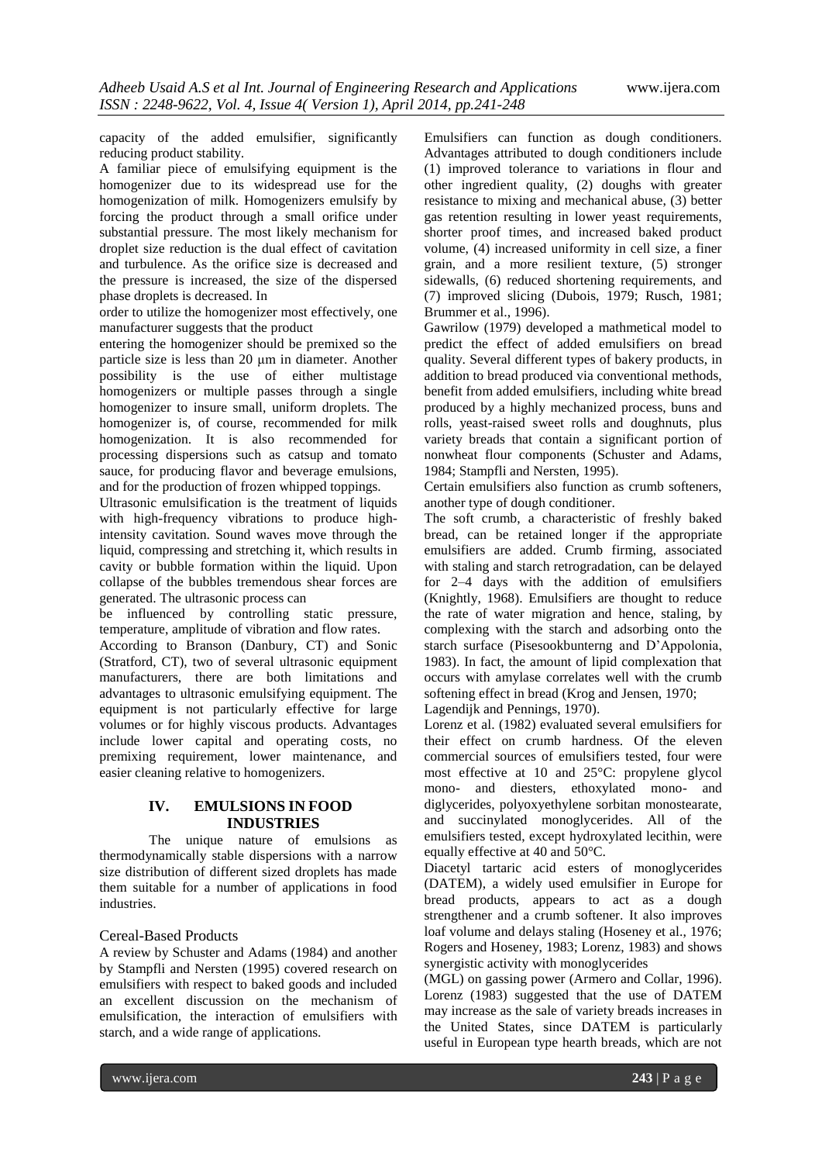capacity of the added emulsifier, significantly reducing product stability.

A familiar piece of emulsifying equipment is the homogenizer due to its widespread use for the homogenization of milk. Homogenizers emulsify by forcing the product through a small orifice under substantial pressure. The most likely mechanism for droplet size reduction is the dual effect of cavitation and turbulence. As the orifice size is decreased and the pressure is increased, the size of the dispersed phase droplets is decreased. In

order to utilize the homogenizer most effectively, one manufacturer suggests that the product

entering the homogenizer should be premixed so the particle size is less than 20 μm in diameter. Another possibility is the use of either multistage homogenizers or multiple passes through a single homogenizer to insure small, uniform droplets. The homogenizer is, of course, recommended for milk homogenization. It is also recommended for processing dispersions such as catsup and tomato sauce, for producing flavor and beverage emulsions, and for the production of frozen whipped toppings.

Ultrasonic emulsification is the treatment of liquids with high-frequency vibrations to produce highintensity cavitation. Sound waves move through the liquid, compressing and stretching it, which results in cavity or bubble formation within the liquid. Upon collapse of the bubbles tremendous shear forces are generated. The ultrasonic process can

be influenced by controlling static pressure, temperature, amplitude of vibration and flow rates.

According to Branson (Danbury, CT) and Sonic (Stratford, CT), two of several ultrasonic equipment manufacturers, there are both limitations and advantages to ultrasonic emulsifying equipment. The equipment is not particularly effective for large volumes or for highly viscous products. Advantages include lower capital and operating costs, no premixing requirement, lower maintenance, and easier cleaning relative to homogenizers.

## **IV. EMULSIONS IN FOOD INDUSTRIES**

The unique nature of emulsions as thermodynamically stable dispersions with a narrow size distribution of different sized droplets has made them suitable for a number of applications in food industries.

## Cereal-Based Products

A review by Schuster and Adams (1984) and another by Stampfli and Nersten (1995) covered research on emulsifiers with respect to baked goods and included an excellent discussion on the mechanism of emulsification, the interaction of emulsifiers with starch, and a wide range of applications.

Emulsifiers can function as dough conditioners. Advantages attributed to dough conditioners include (1) improved tolerance to variations in flour and other ingredient quality, (2) doughs with greater resistance to mixing and mechanical abuse, (3) better gas retention resulting in lower yeast requirements, shorter proof times, and increased baked product volume, (4) increased uniformity in cell size, a finer grain, and a more resilient texture, (5) stronger sidewalls, (6) reduced shortening requirements, and (7) improved slicing (Dubois, 1979; Rusch, 1981; Brummer et al., 1996).

Gawrilow (1979) developed a mathmetical model to predict the effect of added emulsifiers on bread quality. Several different types of bakery products, in addition to bread produced via conventional methods, benefit from added emulsifiers, including white bread produced by a highly mechanized process, buns and rolls, yeast-raised sweet rolls and doughnuts, plus variety breads that contain a significant portion of nonwheat flour components (Schuster and Adams, 1984; Stampfli and Nersten, 1995).

Certain emulsifiers also function as crumb softeners, another type of dough conditioner.

The soft crumb, a characteristic of freshly baked bread, can be retained longer if the appropriate emulsifiers are added. Crumb firming, associated with staling and starch retrogradation, can be delayed for 2–4 days with the addition of emulsifiers (Knightly, 1968). Emulsifiers are thought to reduce the rate of water migration and hence, staling, by complexing with the starch and adsorbing onto the starch surface (Pisesookbunterng and D'Appolonia, 1983). In fact, the amount of lipid complexation that occurs with amylase correlates well with the crumb softening effect in bread (Krog and Jensen, 1970;

Lagendijk and Pennings, 1970).

Lorenz et al. (1982) evaluated several emulsifiers for their effect on crumb hardness. Of the eleven commercial sources of emulsifiers tested, four were most effective at 10 and 25°C: propylene glycol mono- and diesters, ethoxylated mono- and diglycerides, polyoxyethylene sorbitan monostearate, and succinylated monoglycerides. All of the emulsifiers tested, except hydroxylated lecithin, were equally effective at 40 and 50°C.

Diacetyl tartaric acid esters of monoglycerides (DATEM), a widely used emulsifier in Europe for bread products, appears to act as a dough strengthener and a crumb softener. It also improves loaf volume and delays staling (Hoseney et al., 1976; Rogers and Hoseney, 1983; Lorenz, 1983) and shows synergistic activity with monoglycerides

(MGL) on gassing power (Armero and Collar, 1996). Lorenz (1983) suggested that the use of DATEM may increase as the sale of variety breads increases in the United States, since DATEM is particularly useful in European type hearth breads, which are not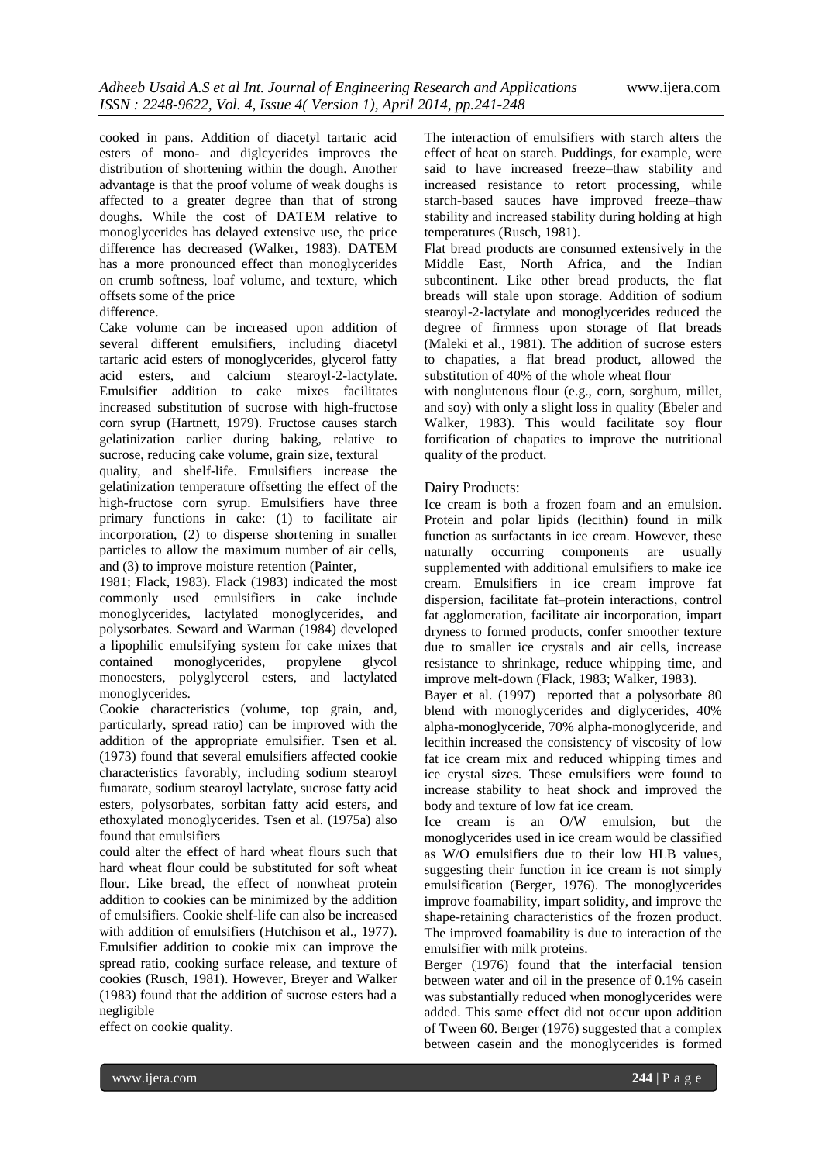cooked in pans. Addition of diacetyl tartaric acid esters of mono- and diglcyerides improves the distribution of shortening within the dough. Another advantage is that the proof volume of weak doughs is affected to a greater degree than that of strong doughs. While the cost of DATEM relative to monoglycerides has delayed extensive use, the price difference has decreased (Walker, 1983). DATEM has a more pronounced effect than monoglycerides on crumb softness, loaf volume, and texture, which offsets some of the price

## difference.

Cake volume can be increased upon addition of several different emulsifiers, including diacetyl tartaric acid esters of monoglycerides, glycerol fatty acid esters, and calcium stearoyl-2-lactylate. Emulsifier addition to cake mixes facilitates increased substitution of sucrose with high-fructose corn syrup (Hartnett, 1979). Fructose causes starch gelatinization earlier during baking, relative to sucrose, reducing cake volume, grain size, textural quality, and shelf-life. Emulsifiers increase the gelatinization temperature offsetting the effect of the high-fructose corn syrup. Emulsifiers have three primary functions in cake: (1) to facilitate air

incorporation, (2) to disperse shortening in smaller particles to allow the maximum number of air cells, and (3) to improve moisture retention (Painter,

1981; Flack, 1983). Flack (1983) indicated the most commonly used emulsifiers in cake include monoglycerides, lactylated monoglycerides, and polysorbates. Seward and Warman (1984) developed a lipophilic emulsifying system for cake mixes that contained monoglycerides, propylene glycol monoesters, polyglycerol esters, and lactylated monoglycerides.

Cookie characteristics (volume, top grain, and, particularly, spread ratio) can be improved with the addition of the appropriate emulsifier. Tsen et al. (1973) found that several emulsifiers affected cookie characteristics favorably, including sodium stearoyl fumarate, sodium stearoyl lactylate, sucrose fatty acid esters, polysorbates, sorbitan fatty acid esters, and ethoxylated monoglycerides. Tsen et al. (1975a) also found that emulsifiers

could alter the effect of hard wheat flours such that hard wheat flour could be substituted for soft wheat flour. Like bread, the effect of nonwheat protein addition to cookies can be minimized by the addition of emulsifiers. Cookie shelf-life can also be increased with addition of emulsifiers (Hutchison et al., 1977). Emulsifier addition to cookie mix can improve the spread ratio, cooking surface release, and texture of cookies (Rusch, 1981). However, Breyer and Walker (1983) found that the addition of sucrose esters had a negligible

effect on cookie quality.

The interaction of emulsifiers with starch alters the effect of heat on starch. Puddings, for example, were said to have increased freeze–thaw stability and increased resistance to retort processing, while starch-based sauces have improved freeze–thaw stability and increased stability during holding at high temperatures (Rusch, 1981).

Flat bread products are consumed extensively in the Middle East, North Africa, and the Indian subcontinent. Like other bread products, the flat breads will stale upon storage. Addition of sodium stearoyl-2-lactylate and monoglycerides reduced the degree of firmness upon storage of flat breads (Maleki et al., 1981). The addition of sucrose esters to chapaties, a flat bread product, allowed the substitution of 40% of the whole wheat flour

with nonglutenous flour (e.g., corn, sorghum, millet, and soy) with only a slight loss in quality (Ebeler and Walker, 1983). This would facilitate soy flour fortification of chapaties to improve the nutritional quality of the product.

#### Dairy Products:

Ice cream is both a frozen foam and an emulsion. Protein and polar lipids (lecithin) found in milk function as surfactants in ice cream. However, these naturally occurring components are usually supplemented with additional emulsifiers to make ice cream. Emulsifiers in ice cream improve fat dispersion, facilitate fat–protein interactions, control fat agglomeration, facilitate air incorporation, impart dryness to formed products, confer smoother texture due to smaller ice crystals and air cells, increase resistance to shrinkage, reduce whipping time, and improve melt-down (Flack, 1983; Walker, 1983).

Bayer et al. (1997) reported that a polysorbate 80 blend with monoglycerides and diglycerides, 40% alpha-monoglyceride, 70% alpha-monoglyceride, and lecithin increased the consistency of viscosity of low fat ice cream mix and reduced whipping times and ice crystal sizes. These emulsifiers were found to increase stability to heat shock and improved the body and texture of low fat ice cream.

Ice cream is an O/W emulsion, but the monoglycerides used in ice cream would be classified as W/O emulsifiers due to their low HLB values, suggesting their function in ice cream is not simply emulsification (Berger, 1976). The monoglycerides improve foamability, impart solidity, and improve the shape-retaining characteristics of the frozen product. The improved foamability is due to interaction of the emulsifier with milk proteins.

Berger (1976) found that the interfacial tension between water and oil in the presence of 0.1% casein was substantially reduced when monoglycerides were added. This same effect did not occur upon addition of Tween 60. Berger (1976) suggested that a complex between casein and the monoglycerides is formed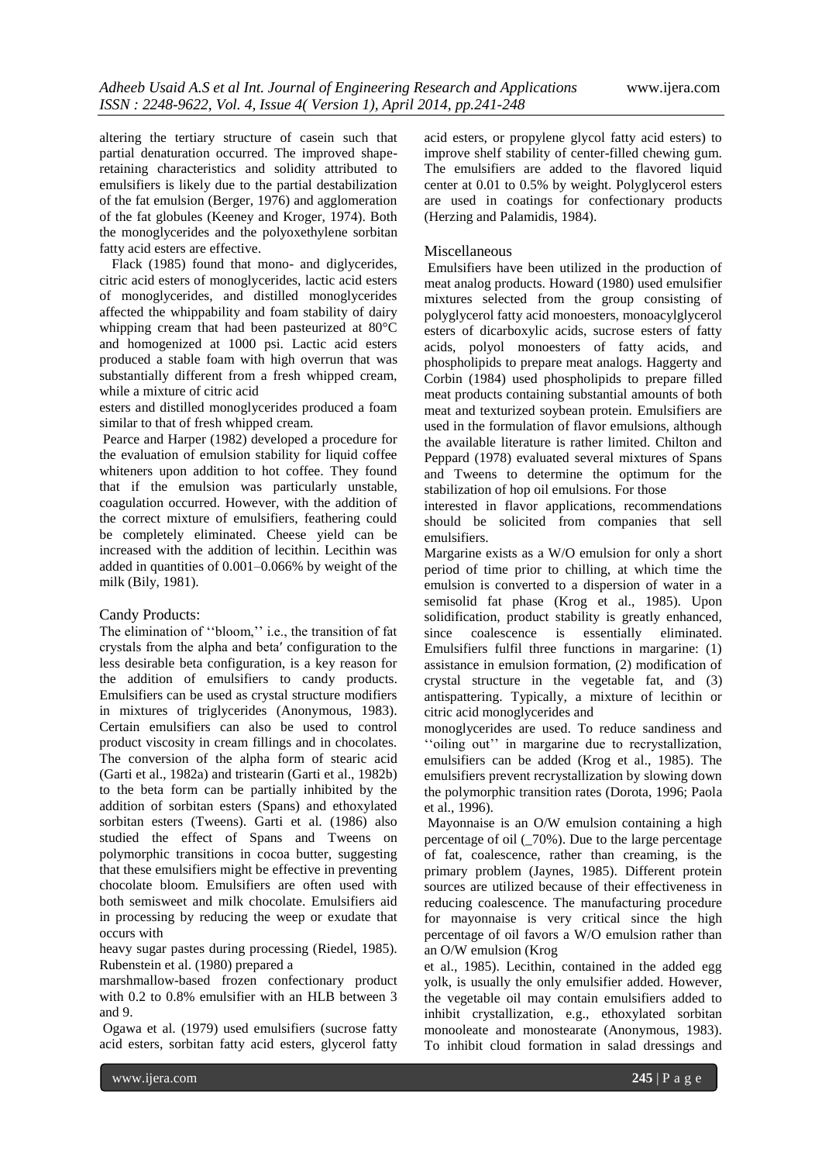altering the tertiary structure of casein such that partial denaturation occurred. The improved shaperetaining characteristics and solidity attributed to emulsifiers is likely due to the partial destabilization of the fat emulsion (Berger, 1976) and agglomeration of the fat globules (Keeney and Kroger, 1974). Both the monoglycerides and the polyoxethylene sorbitan fatty acid esters are effective.

 Flack (1985) found that mono- and diglycerides, citric acid esters of monoglycerides, lactic acid esters of monoglycerides, and distilled monoglycerides affected the whippability and foam stability of dairy whipping cream that had been pasteurized at 80°C and homogenized at 1000 psi. Lactic acid esters produced a stable foam with high overrun that was substantially different from a fresh whipped cream, while a mixture of citric acid

esters and distilled monoglycerides produced a foam similar to that of fresh whipped cream.

Pearce and Harper (1982) developed a procedure for the evaluation of emulsion stability for liquid coffee whiteners upon addition to hot coffee. They found that if the emulsion was particularly unstable, coagulation occurred. However, with the addition of the correct mixture of emulsifiers, feathering could be completely eliminated. Cheese yield can be increased with the addition of lecithin. Lecithin was added in quantities of 0.001–0.066% by weight of the milk (Bily, 1981).

#### Candy Products:

The elimination of ''bloom,'' i.e., the transition of fat crystals from the alpha and beta′ configuration to the less desirable beta configuration, is a key reason for the addition of emulsifiers to candy products. Emulsifiers can be used as crystal structure modifiers in mixtures of triglycerides (Anonymous, 1983). Certain emulsifiers can also be used to control product viscosity in cream fillings and in chocolates. The conversion of the alpha form of stearic acid (Garti et al., 1982a) and tristearin (Garti et al., 1982b) to the beta form can be partially inhibited by the addition of sorbitan esters (Spans) and ethoxylated sorbitan esters (Tweens). Garti et al. (1986) also studied the effect of Spans and Tweens on polymorphic transitions in cocoa butter, suggesting that these emulsifiers might be effective in preventing chocolate bloom. Emulsifiers are often used with both semisweet and milk chocolate. Emulsifiers aid in processing by reducing the weep or exudate that occurs with

heavy sugar pastes during processing (Riedel, 1985). Rubenstein et al. (1980) prepared a

marshmallow-based frozen confectionary product with 0.2 to 0.8% emulsifier with an HLB between 3 and 9.

Ogawa et al. (1979) used emulsifiers (sucrose fatty acid esters, sorbitan fatty acid esters, glycerol fatty

acid esters, or propylene glycol fatty acid esters) to improve shelf stability of center-filled chewing gum. The emulsifiers are added to the flavored liquid center at 0.01 to 0.5% by weight. Polyglycerol esters are used in coatings for confectionary products (Herzing and Palamidis, 1984).

## Miscellaneous

Emulsifiers have been utilized in the production of meat analog products. Howard (1980) used emulsifier mixtures selected from the group consisting of polyglycerol fatty acid monoesters, monoacylglycerol esters of dicarboxylic acids, sucrose esters of fatty acids, polyol monoesters of fatty acids, and phospholipids to prepare meat analogs. Haggerty and Corbin (1984) used phospholipids to prepare filled meat products containing substantial amounts of both meat and texturized soybean protein. Emulsifiers are used in the formulation of flavor emulsions, although the available literature is rather limited. Chilton and Peppard (1978) evaluated several mixtures of Spans and Tweens to determine the optimum for the stabilization of hop oil emulsions. For those

interested in flavor applications, recommendations should be solicited from companies that sell emulsifiers.

Margarine exists as a W/O emulsion for only a short period of time prior to chilling, at which time the emulsion is converted to a dispersion of water in a semisolid fat phase (Krog et al., 1985). Upon solidification, product stability is greatly enhanced, since coalescence is essentially eliminated. Emulsifiers fulfil three functions in margarine: (1) assistance in emulsion formation, (2) modification of crystal structure in the vegetable fat, and (3) antispattering. Typically, a mixture of lecithin or citric acid monoglycerides and

monoglycerides are used. To reduce sandiness and "oiling out" in margarine due to recrystallization, emulsifiers can be added (Krog et al., 1985). The emulsifiers prevent recrystallization by slowing down the polymorphic transition rates (Dorota, 1996; Paola et al., 1996).

Mayonnaise is an O/W emulsion containing a high percentage of oil (\_70%). Due to the large percentage of fat, coalescence, rather than creaming, is the primary problem (Jaynes, 1985). Different protein sources are utilized because of their effectiveness in reducing coalescence. The manufacturing procedure for mayonnaise is very critical since the high percentage of oil favors a W/O emulsion rather than an O/W emulsion (Krog

et al., 1985). Lecithin, contained in the added egg yolk, is usually the only emulsifier added. However, the vegetable oil may contain emulsifiers added to inhibit crystallization, e.g., ethoxylated sorbitan monooleate and monostearate (Anonymous, 1983). To inhibit cloud formation in salad dressings and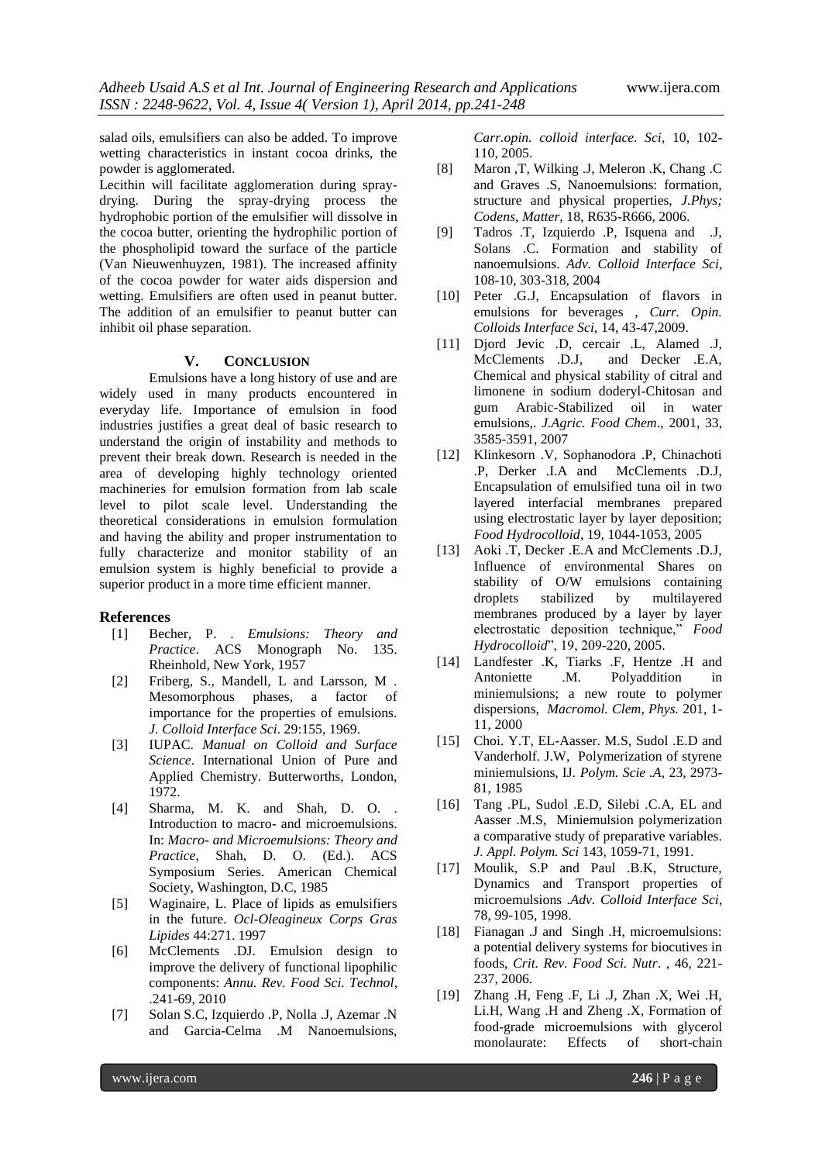salad oils, emulsifiers can also be added. To improve wetting characteristics in instant cocoa drinks, the powder is agglomerated.

Lecithin will facilitate agglomeration during spraydrying. During the spray-drying process the hydrophobic portion of the emulsifier will dissolve in the cocoa butter, orienting the hydrophilic portion of the phospholipid toward the surface of the particle (Van Nieuwenhuyzen, 1981). The increased affinity of the cocoa powder for water aids dispersion and wetting. Emulsifiers are often used in peanut butter. The addition of an emulsifier to peanut butter can inhibit oil phase separation.

## **V. CONCLUSION**

Emulsions have a long history of use and are widely used in many products encountered in everyday life. Importance of emulsion in food industries justifies a great deal of basic research to understand the origin of instability and methods to prevent their break down. Research is needed in the area of developing highly technology oriented machineries for emulsion formation from lab scale level to pilot scale level. Understanding the theoretical considerations in emulsion formulation and having the ability and proper instrumentation to fully characterize and monitor stability of an emulsion system is highly beneficial to provide a superior product in a more time efficient manner.

### **References**

- [1] Becher, P. . *Emulsions: Theory and Practice*. ACS Monograph No. 135. Rheinhold, New York, 1957
- [2] Friberg, S., Mandell, L and Larsson, M . Mesomorphous phases, a factor of importance for the properties of emulsions. *J. Colloid Interface Sci*. 29:155, 1969.
- [3] IUPAC. *Manual on Colloid and Surface Science*. International Union of Pure and Applied Chemistry. Butterworths, London, 1972.
- [4] Sharma, M. K. and Shah, D. O. . Introduction to macro- and microemulsions. In: *Macro- and Microemulsions: Theory and Practice*, Shah, D. O. (Ed.). ACS Symposium Series. American Chemical Society, Washington, D.C, 1985
- [5] Waginaire, L. Place of lipids as emulsifiers in the future. *Ocl-Oleagineux Corps Gras Lipides* 44:271. 1997
- [6] McClements .DJ. Emulsion design to improve the delivery of functional lipophilic components: *Annu. Rev. Food Sci. Technol*, .241-69, 2010
- [7] Solan S.C, Izquierdo .P, Nolla .J, Azemar .N and Garcia-Celma .M Nanoemulsions,

*Carr.opin. colloid interface. Sci*, 10, 102- 110, 2005.

- [8] Maron ,T, Wilking .J, Meleron .K, Chang .C and Graves .S, Nanoemulsions: formation, structure and physical properties, *J.Phys; Codens, Matter,* 18, R635-R666, 2006.
- [9] Tadros .T, Izquierdo .P, Isquena and .J, Solans .C. Formation and stability of nanoemulsions. *Adv. Colloid Interface Sci,*  108-10, 303-318, 2004
- [10] Peter .G.J, Encapsulation of flavors in emulsions for beverages , *Curr. Opin. Colloids Interface Sci,* 14, 43-47,2009.
- [11] Djord Jevic .D, cercair .L, Alamed .J, McClements .D.J, and Decker .E.A, Chemical and physical stability of citral and limonene in sodium doderyl-Chitosan and gum Arabic-Stabilized oil in water emulsions,. *J.Agric. Food Chem*., 2001, 33, 3585-3591, 2007
- [12] Klinkesorn .V, Sophanodora .P, Chinachoti .P, Derker .I.A and McClements .D.J, Encapsulation of emulsified tuna oil in two layered interfacial membranes prepared using electrostatic layer by layer deposition; *Food Hydrocolloid*, 19, 1044-1053, 2005
- [13] Aoki .T, Decker .E.A and McClements .D.J, Influence of environmental Shares on stability of O/W emulsions containing droplets stabilized by multilayered membranes produced by a layer by layer electrostatic deposition technique," *Food Hydrocolloid*", 19, 209-220, 2005.
- [14] Landfester .K, Tiarks .F, Hentze .H and Antoniette .M. Polyaddition in miniemulsions; a new route to polymer dispersions, *Macromol. Clem, Phys.* 201, 1- 11, 2000
- [15] Choi. Y.T, EL-Aasser. M.S, Sudol .E.D and Vanderholf. J.W, Polymerization of styrene miniemulsions, IJ*. Polym. Scie .A*, 23, 2973- 81, 1985
- [16] Tang .PL, Sudol .E.D, Silebi .C.A, EL and Aasser .M.S, Miniemulsion polymerization a comparative study of preparative variables. *J. Appl. Polym. Sci* 143, 1059-71, 1991.
- [17] Moulik, S.P and Paul .B.K, Structure, Dynamics and Transport properties of microemulsions .*Adv. Colloid Interface Sci*, 78, 99-105, 1998.
- [18] Fianagan .J and Singh .H, microemulsions: a potential delivery systems for biocutives in foods, *Crit. Rev. Food Sci. Nutr*. , 46, 221- 237, 2006.
- [19] Zhang .H, Feng .F, Li .J, Zhan .X, Wei .H, Li.H, Wang .H and Zheng .X, Formation of food-grade microemulsions with glycerol monolaurate: Effects of short-chain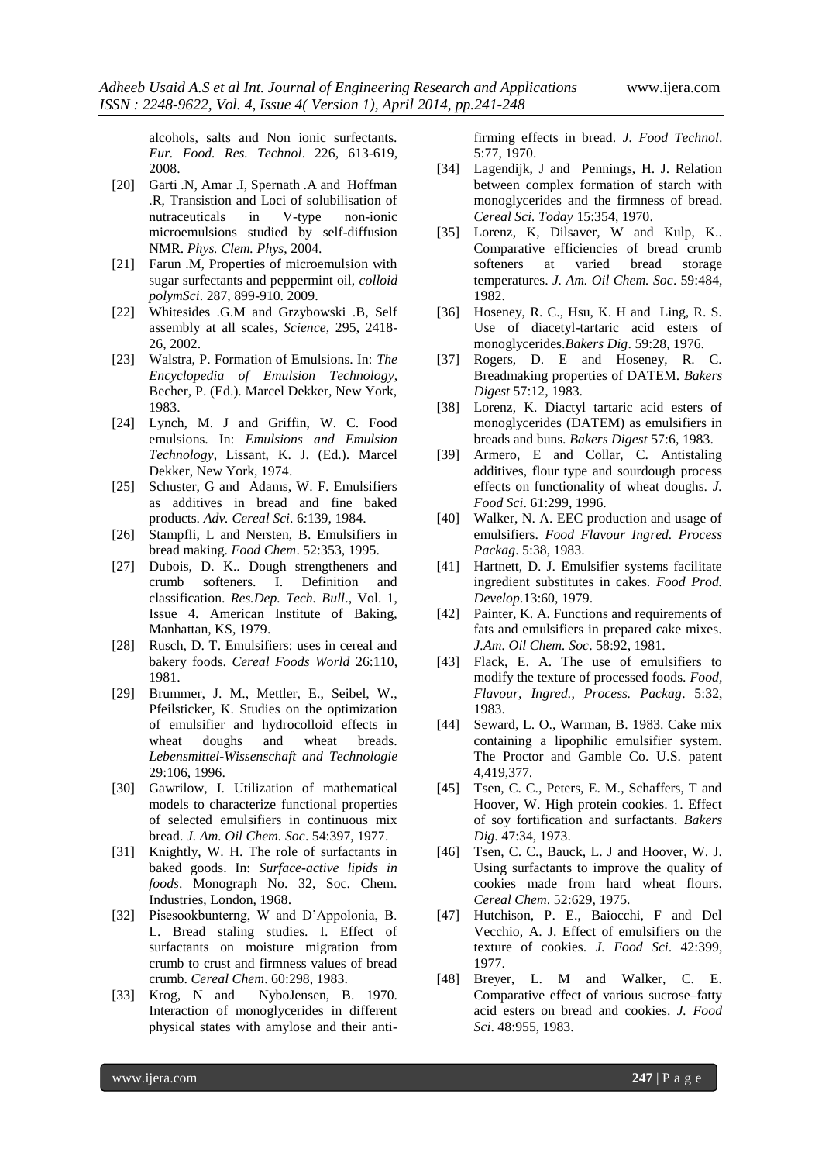alcohols, salts and Non ionic surfectants. *Eur. Food. Res. Technol*. 226, 613-619, 2008.

- [20] Garti .N, Amar .I, Spernath .A and Hoffman .R, Transistion and Loci of solubilisation of nutraceuticals in V-type non-ionic microemulsions studied by self-diffusion NMR. *Phys. Clem. Phys*, 2004.
- [21] Farun .M, Properties of microemulsion with sugar surfectants and peppermint oil, *colloid polymSci*. 287, 899-910. 2009.
- [22] Whitesides .G.M and Grzybowski .B, Self assembly at all scales*, Science*, 295, 2418- 26, 2002.
- [23] Walstra, P. Formation of Emulsions. In: *The Encyclopedia of Emulsion Technology*, Becher, P. (Ed.). Marcel Dekker, New York, 1983.
- [24] Lynch, M. J and Griffin, W. C. Food emulsions. In: *Emulsions and Emulsion Technology*, Lissant, K. J. (Ed.). Marcel Dekker, New York, 1974.
- [25] Schuster, G and Adams, W. F. Emulsifiers as additives in bread and fine baked products. *Adv. Cereal Sci*. 6:139, 1984.
- [26] Stampfli, L and Nersten, B. Emulsifiers in bread making. *Food Chem*. 52:353, 1995.
- [27] Dubois, D. K.. Dough strengtheners and crumb softeners. I. Definition and classification. *Res.Dep. Tech. Bull*., Vol. 1, Issue 4. American Institute of Baking, Manhattan, KS, 1979.
- [28] Rusch, D. T. Emulsifiers: uses in cereal and bakery foods. *Cereal Foods World* 26:110, 1981.
- [29] Brummer, J. M., Mettler, E., Seibel, W., Pfeilsticker, K. Studies on the optimization of emulsifier and hydrocolloid effects in wheat doughs and wheat breads. *Lebensmittel-Wissenschaft and Technologie*  29:106, 1996.
- [30] Gawrilow, I. Utilization of mathematical models to characterize functional properties of selected emulsifiers in continuous mix bread. *J. Am. Oil Chem. Soc*. 54:397, 1977.
- [31] Knightly, W. H. The role of surfactants in baked goods. In: *Surface-active lipids in foods*. Monograph No. 32, Soc. Chem. Industries, London, 1968.
- [32] Pisesookbunterng, W and D'Appolonia, B. L. Bread staling studies. I. Effect of surfactants on moisture migration from crumb to crust and firmness values of bread crumb. *Cereal Chem*. 60:298, 1983.
- [33] Krog, N and NyboJensen, B. 1970. Interaction of monoglycerides in different physical states with amylose and their anti-

firming effects in bread. *J. Food Technol*. 5:77, 1970.

- [34] Lagendijk, J and Pennings, H. J. Relation between complex formation of starch with monoglycerides and the firmness of bread. *Cereal Sci. Today* 15:354, 1970.
- [35] Lorenz, K, Dilsaver, W and Kulp, K.. Comparative efficiencies of bread crumb softeners at varied bread storage temperatures. *J. Am. Oil Chem. Soc*. 59:484, 1982.
- [36] Hoseney, R. C., Hsu, K. H and Ling, R. S. Use of diacetyl-tartaric acid esters of monoglycerides.*Bakers Dig*. 59:28, 1976.
- [37] Rogers, D. E and Hoseney, R. C. Breadmaking properties of DATEM. *Bakers Digest* 57:12, 1983.
- [38] Lorenz, K. Diactyl tartaric acid esters of monoglycerides (DATEM) as emulsifiers in breads and buns. *Bakers Digest* 57:6, 1983.
- [39] Armero, E and Collar, C. Antistaling additives, flour type and sourdough process effects on functionality of wheat doughs. *J. Food Sci*. 61:299, 1996.
- [40] Walker, N. A. EEC production and usage of emulsifiers. *Food Flavour Ingred. Process Packag*. 5:38, 1983.
- [41] Hartnett, D. J. Emulsifier systems facilitate ingredient substitutes in cakes. *Food Prod. Develop*.13:60, 1979.
- [42] Painter, K. A. Functions and requirements of fats and emulsifiers in prepared cake mixes. *J.Am. Oil Chem. Soc*. 58:92, 1981.
- [43] Flack, E. A. The use of emulsifiers to modify the texture of processed foods. *Food, Flavour, Ingred., Process. Packag*. 5:32, 1983.
- [44] Seward, L. O., Warman, B. 1983. Cake mix containing a lipophilic emulsifier system. The Proctor and Gamble Co. U.S. patent 4,419,377.
- [45] Tsen, C. C., Peters, E. M., Schaffers, T and Hoover, W. High protein cookies. 1. Effect of soy fortification and surfactants. *Bakers Dig*. 47:34, 1973.
- [46] Tsen, C. C., Bauck, L. J and Hoover, W. J. Using surfactants to improve the quality of cookies made from hard wheat flours. *Cereal Chem*. 52:629, 1975.
- [47] Hutchison, P. E., Baiocchi, F and Del Vecchio, A. J. Effect of emulsifiers on the texture of cookies. *J. Food Sci*. 42:399, 1977.
- [48] Breyer, L. M and Walker, C. E. Comparative effect of various sucrose–fatty acid esters on bread and cookies. *J. Food Sci*. 48:955, 1983.